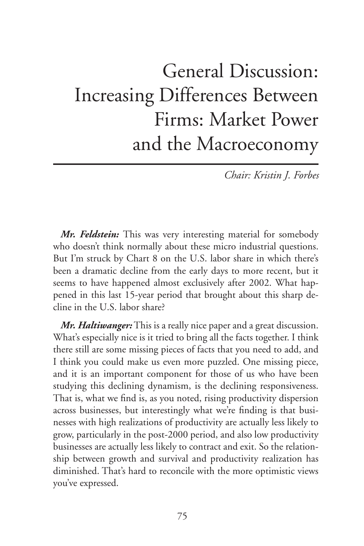## General Discussion: Increasing Differences Between Firms: Market Power and the Macroeconomy

*Chair: Kristin J. Forbes*

*Mr. Feldstein:* This was very interesting material for somebody who doesn't think normally about these micro industrial questions. But I'm struck by Chart 8 on the U.S. labor share in which there's been a dramatic decline from the early days to more recent, but it seems to have happened almost exclusively after 2002. What happened in this last 15-year period that brought about this sharp decline in the U.S. labor share?

*Mr. Haltiwanger:* This is a really nice paper and a great discussion. What's especially nice is it tried to bring all the facts together. I think there still are some missing pieces of facts that you need to add, and I think you could make us even more puzzled. One missing piece, and it is an important component for those of us who have been studying this declining dynamism, is the declining responsiveness. That is, what we find is, as you noted, rising productivity dispersion across businesses, but interestingly what we're finding is that businesses with high realizations of productivity are actually less likely to grow, particularly in the post-2000 period, and also low productivity businesses are actually less likely to contract and exit. So the relationship between growth and survival and productivity realization has diminished. That's hard to reconcile with the more optimistic views you've expressed.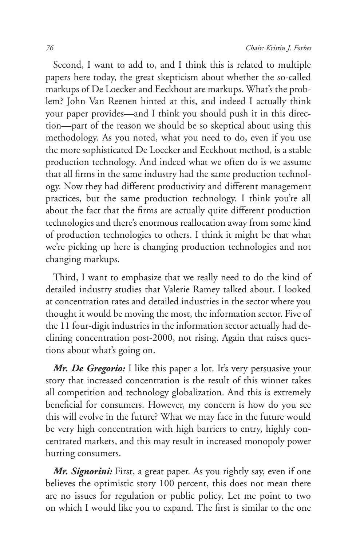Second, I want to add to, and I think this is related to multiple papers here today, the great skepticism about whether the so-called markups of De Loecker and Eeckhout are markups. What's the problem? John Van Reenen hinted at this, and indeed I actually think your paper provides—and I think you should push it in this direction—part of the reason we should be so skeptical about using this methodology. As you noted, what you need to do, even if you use the more sophisticated De Loecker and Eeckhout method, is a stable production technology. And indeed what we often do is we assume that all firms in the same industry had the same production technology. Now they had different productivity and different management practices, but the same production technology. I think you're all about the fact that the firms are actually quite different production technologies and there's enormous reallocation away from some kind of production technologies to others. I think it might be that what we're picking up here is changing production technologies and not changing markups.

Third, I want to emphasize that we really need to do the kind of detailed industry studies that Valerie Ramey talked about. I looked at concentration rates and detailed industries in the sector where you thought it would be moving the most, the information sector. Five of the 11 four-digit industries in the information sector actually had declining concentration post-2000, not rising. Again that raises questions about what's going on.

*Mr. De Gregorio:* I like this paper a lot. It's very persuasive your story that increased concentration is the result of this winner takes all competition and technology globalization. And this is extremely beneficial for consumers. However, my concern is how do you see this will evolve in the future? What we may face in the future would be very high concentration with high barriers to entry, highly concentrated markets, and this may result in increased monopoly power hurting consumers.

*Mr. Signorini:* First, a great paper. As you rightly say, even if one believes the optimistic story 100 percent, this does not mean there are no issues for regulation or public policy. Let me point to two on which I would like you to expand. The first is similar to the one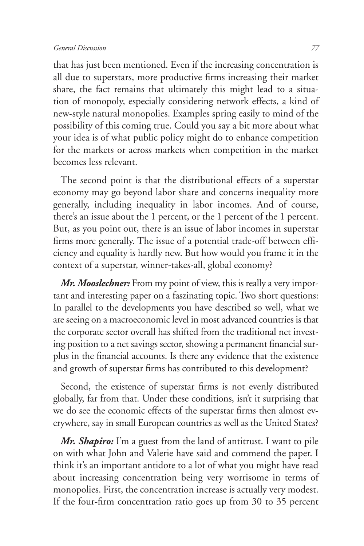## *General Discussion 77*

that has just been mentioned. Even if the increasing concentration is all due to superstars, more productive firms increasing their market share, the fact remains that ultimately this might lead to a situation of monopoly, especially considering network effects, a kind of new-style natural monopolies. Examples spring easily to mind of the possibility of this coming true. Could you say a bit more about what your idea is of what public policy might do to enhance competition for the markets or across markets when competition in the market becomes less relevant.

The second point is that the distributional effects of a superstar economy may go beyond labor share and concerns inequality more generally, including inequality in labor incomes. And of course, there's an issue about the 1 percent, or the 1 percent of the 1 percent. But, as you point out, there is an issue of labor incomes in superstar firms more generally. The issue of a potential trade-off between efficiency and equality is hardly new. But how would you frame it in the context of a superstar, winner-takes-all, global economy?

*Mr. Mooslechner:* From my point of view, this is really a very important and interesting paper on a faszinating topic. Two short questions: In parallel to the developments you have described so well, what we are seeing on a macroeconomic level in most advanced countries is that the corporate sector overall has shifted from the traditional net investing position to a net savings sector, showing a permanent financial surplus in the financial accounts. Is there any evidence that the existence and growth of superstar firms has contributed to this development?

Second, the existence of superstar firms is not evenly distributed globally, far from that. Under these conditions, isn't it surprising that we do see the economic effects of the superstar firms then almost everywhere, say in small European countries as well as the United States?

*Mr. Shapiro:* I'm a guest from the land of antitrust. I want to pile on with what John and Valerie have said and commend the paper. I think it's an important antidote to a lot of what you might have read about increasing concentration being very worrisome in terms of monopolies. First, the concentration increase is actually very modest. If the four-firm concentration ratio goes up from 30 to 35 percent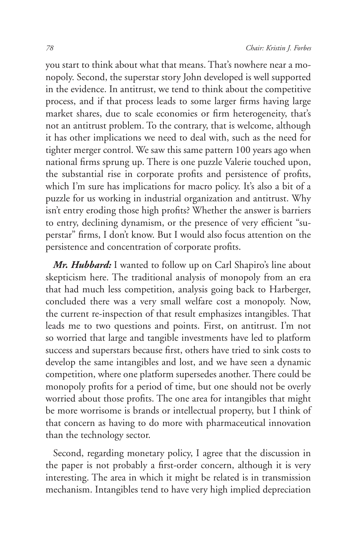you start to think about what that means. That's nowhere near a monopoly. Second, the superstar story John developed is well supported in the evidence. In antitrust, we tend to think about the competitive process, and if that process leads to some larger firms having large market shares, due to scale economies or firm heterogeneity, that's not an antitrust problem. To the contrary, that is welcome, although it has other implications we need to deal with, such as the need for tighter merger control. We saw this same pattern 100 years ago when national firms sprung up. There is one puzzle Valerie touched upon, the substantial rise in corporate profits and persistence of profits, which I'm sure has implications for macro policy. It's also a bit of a puzzle for us working in industrial organization and antitrust. Why isn't entry eroding those high profits? Whether the answer is barriers to entry, declining dynamism, or the presence of very efficient "superstar" firms, I don't know. But I would also focus attention on the persistence and concentration of corporate profits.

*Mr. Hubbard:* I wanted to follow up on Carl Shapiro's line about skepticism here. The traditional analysis of monopoly from an era that had much less competition, analysis going back to Harberger, concluded there was a very small welfare cost a monopoly. Now, the current re-inspection of that result emphasizes intangibles. That leads me to two questions and points. First, on antitrust. I'm not so worried that large and tangible investments have led to platform success and superstars because first, others have tried to sink costs to develop the same intangibles and lost, and we have seen a dynamic competition, where one platform supersedes another. There could be monopoly profits for a period of time, but one should not be overly worried about those profits. The one area for intangibles that might be more worrisome is brands or intellectual property, but I think of that concern as having to do more with pharmaceutical innovation than the technology sector.

Second, regarding monetary policy, I agree that the discussion in the paper is not probably a first-order concern, although it is very interesting. The area in which it might be related is in transmission mechanism. Intangibles tend to have very high implied depreciation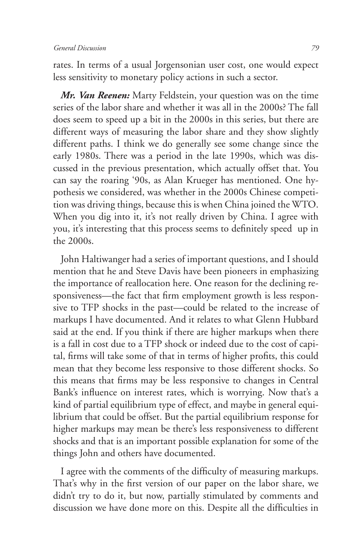rates. In terms of a usual Jorgensonian user cost, one would expect less sensitivity to monetary policy actions in such a sector.

*Mr. Van Reenen:* Marty Feldstein, your question was on the time series of the labor share and whether it was all in the 2000s? The fall does seem to speed up a bit in the 2000s in this series, but there are different ways of measuring the labor share and they show slightly different paths. I think we do generally see some change since the early 1980s. There was a period in the late 1990s, which was discussed in the previous presentation, which actually offset that. You can say the roaring '90s, as Alan Krueger has mentioned. One hypothesis we considered, was whether in the 2000s Chinese competition was driving things, because this is when China joined the WTO. When you dig into it, it's not really driven by China. I agree with you, it's interesting that this process seems to definitely speed up in the 2000s.

John Haltiwanger had a series of important questions, and I should mention that he and Steve Davis have been pioneers in emphasizing the importance of reallocation here. One reason for the declining responsiveness—the fact that firm employment growth is less responsive to TFP shocks in the past—could be related to the increase of markups I have documented. And it relates to what Glenn Hubbard said at the end. If you think if there are higher markups when there is a fall in cost due to a TFP shock or indeed due to the cost of capital, firms will take some of that in terms of higher profits, this could mean that they become less responsive to those different shocks. So this means that firms may be less responsive to changes in Central Bank's influence on interest rates, which is worrying. Now that's a kind of partial equilibrium type of effect, and maybe in general equilibrium that could be offset. But the partial equilibrium response for higher markups may mean be there's less responsiveness to different shocks and that is an important possible explanation for some of the things John and others have documented.

I agree with the comments of the difficulty of measuring markups. That's why in the first version of our paper on the labor share, we didn't try to do it, but now, partially stimulated by comments and discussion we have done more on this. Despite all the difficulties in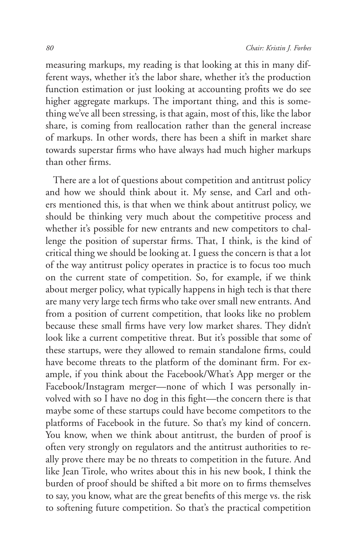measuring markups, my reading is that looking at this in many different ways, whether it's the labor share, whether it's the production function estimation or just looking at accounting profits we do see higher aggregate markups. The important thing, and this is something we've all been stressing, is that again, most of this, like the labor share, is coming from reallocation rather than the general increase of markups. In other words, there has been a shift in market share towards superstar firms who have always had much higher markups than other firms.

There are a lot of questions about competition and antitrust policy and how we should think about it. My sense, and Carl and others mentioned this, is that when we think about antitrust policy, we should be thinking very much about the competitive process and whether it's possible for new entrants and new competitors to challenge the position of superstar firms. That, I think, is the kind of critical thing we should be looking at. I guess the concern is that a lot of the way antitrust policy operates in practice is to focus too much on the current state of competition. So, for example, if we think about merger policy, what typically happens in high tech is that there are many very large tech firms who take over small new entrants. And from a position of current competition, that looks like no problem because these small firms have very low market shares. They didn't look like a current competitive threat. But it's possible that some of these startups, were they allowed to remain standalone firms, could have become threats to the platform of the dominant firm. For example, if you think about the Facebook/What's App merger or the Facebook/Instagram merger—none of which I was personally involved with so I have no dog in this fight—the concern there is that maybe some of these startups could have become competitors to the platforms of Facebook in the future. So that's my kind of concern. You know, when we think about antitrust, the burden of proof is often very strongly on regulators and the antitrust authorities to really prove there may be no threats to competition in the future. And like Jean Tirole, who writes about this in his new book, I think the burden of proof should be shifted a bit more on to firms themselves to say, you know, what are the great benefits of this merge vs. the risk to softening future competition. So that's the practical competition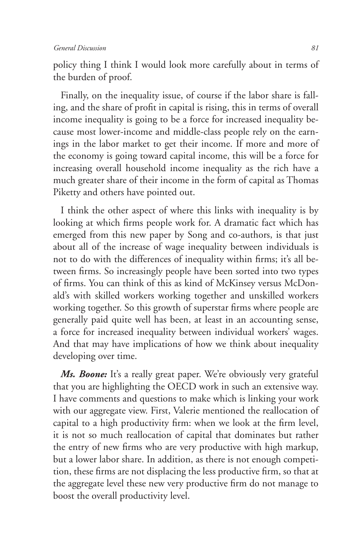policy thing I think I would look more carefully about in terms of the burden of proof.

Finally, on the inequality issue, of course if the labor share is falling, and the share of profit in capital is rising, this in terms of overall income inequality is going to be a force for increased inequality because most lower-income and middle-class people rely on the earnings in the labor market to get their income. If more and more of the economy is going toward capital income, this will be a force for increasing overall household income inequality as the rich have a much greater share of their income in the form of capital as Thomas Piketty and others have pointed out.

I think the other aspect of where this links with inequality is by looking at which firms people work for. A dramatic fact which has emerged from this new paper by Song and co-authors, is that just about all of the increase of wage inequality between individuals is not to do with the differences of inequality within firms; it's all between firms. So increasingly people have been sorted into two types of firms. You can think of this as kind of McKinsey versus McDonald's with skilled workers working together and unskilled workers working together. So this growth of superstar firms where people are generally paid quite well has been, at least in an accounting sense, a force for increased inequality between individual workers' wages. And that may have implications of how we think about inequality developing over time.

*Ms. Boone:* It's a really great paper. We're obviously very grateful that you are highlighting the OECD work in such an extensive way. I have comments and questions to make which is linking your work with our aggregate view. First, Valerie mentioned the reallocation of capital to a high productivity firm: when we look at the firm level, it is not so much reallocation of capital that dominates but rather the entry of new firms who are very productive with high markup, but a lower labor share. In addition, as there is not enough competition, these firms are not displacing the less productive firm, so that at the aggregate level these new very productive firm do not manage to boost the overall productivity level.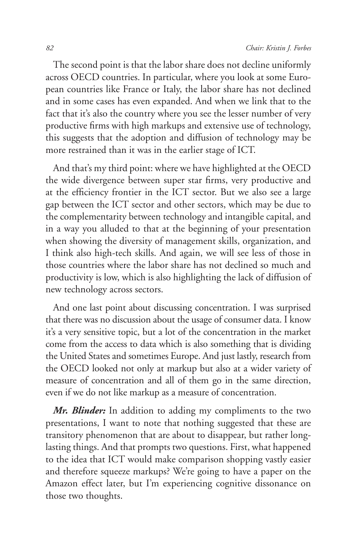The second point is that the labor share does not decline uniformly across OECD countries. In particular, where you look at some European countries like France or Italy, the labor share has not declined and in some cases has even expanded. And when we link that to the fact that it's also the country where you see the lesser number of very productive firms with high markups and extensive use of technology, this suggests that the adoption and diffusion of technology may be more restrained than it was in the earlier stage of ICT.

And that's my third point: where we have highlighted at the OECD the wide divergence between super star firms, very productive and at the efficiency frontier in the ICT sector. But we also see a large gap between the ICT sector and other sectors, which may be due to the complementarity between technology and intangible capital, and in a way you alluded to that at the beginning of your presentation when showing the diversity of management skills, organization, and I think also high-tech skills. And again, we will see less of those in those countries where the labor share has not declined so much and productivity is low, which is also highlighting the lack of diffusion of new technology across sectors.

And one last point about discussing concentration. I was surprised that there was no discussion about the usage of consumer data. I know it's a very sensitive topic, but a lot of the concentration in the market come from the access to data which is also something that is dividing the United States and sometimes Europe. And just lastly, research from the OECD looked not only at markup but also at a wider variety of measure of concentration and all of them go in the same direction, even if we do not like markup as a measure of concentration.

*Mr. Blinder:* In addition to adding my compliments to the two presentations, I want to note that nothing suggested that these are transitory phenomenon that are about to disappear, but rather longlasting things. And that prompts two questions. First, what happened to the idea that ICT would make comparison shopping vastly easier and therefore squeeze markups? We're going to have a paper on the Amazon effect later, but I'm experiencing cognitive dissonance on those two thoughts.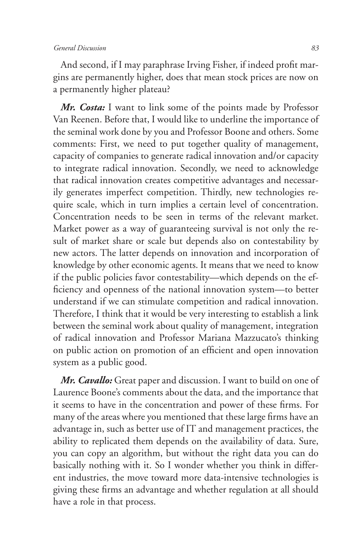## *General Discussion 83*

And second, if I may paraphrase Irving Fisher, if indeed profit margins are permanently higher, does that mean stock prices are now on a permanently higher plateau?

*Mr. Costa:* I want to link some of the points made by Professor Van Reenen. Before that, I would like to underline the importance of the seminal work done by you and Professor Boone and others. Some comments: First, we need to put together quality of management, capacity of companies to generate radical innovation and/or capacity to integrate radical innovation. Secondly, we need to acknowledge that radical innovation creates competitive advantages and necessarily generates imperfect competition. Thirdly, new technologies require scale, which in turn implies a certain level of concentration. Concentration needs to be seen in terms of the relevant market. Market power as a way of guaranteeing survival is not only the result of market share or scale but depends also on contestability by new actors. The latter depends on innovation and incorporation of knowledge by other economic agents. It means that we need to know if the public policies favor contestability—which depends on the efficiency and openness of the national innovation system—to better understand if we can stimulate competition and radical innovation. Therefore, I think that it would be very interesting to establish a link between the seminal work about quality of management, integration of radical innovation and Professor Mariana Mazzucato's thinking on public action on promotion of an efficient and open innovation system as a public good.

*Mr. Cavallo:* Great paper and discussion. I want to build on one of Laurence Boone's comments about the data, and the importance that it seems to have in the concentration and power of these firms. For many of the areas where you mentioned that these large firms have an advantage in, such as better use of IT and management practices, the ability to replicated them depends on the availability of data. Sure, you can copy an algorithm, but without the right data you can do basically nothing with it. So I wonder whether you think in different industries, the move toward more data-intensive technologies is giving these firms an advantage and whether regulation at all should have a role in that process.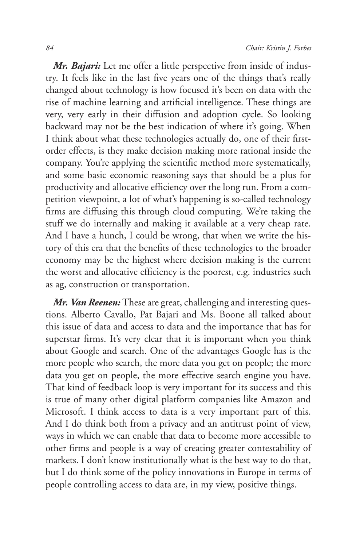*Mr. Bajari:* Let me offer a little perspective from inside of industry. It feels like in the last five years one of the things that's really changed about technology is how focused it's been on data with the rise of machine learning and artificial intelligence. These things are very, very early in their diffusion and adoption cycle. So looking backward may not be the best indication of where it's going. When I think about what these technologies actually do, one of their firstorder effects, is they make decision making more rational inside the company. You're applying the scientific method more systematically, and some basic economic reasoning says that should be a plus for productivity and allocative efficiency over the long run. From a competition viewpoint, a lot of what's happening is so-called technology firms are diffusing this through cloud computing. We're taking the stuff we do internally and making it available at a very cheap rate. And I have a hunch, I could be wrong, that when we write the history of this era that the benefits of these technologies to the broader economy may be the highest where decision making is the current the worst and allocative efficiency is the poorest, e.g. industries such as ag, construction or transportation.

*Mr. Van Reenen:* These are great, challenging and interesting questions. Alberto Cavallo, Pat Bajari and Ms. Boone all talked about this issue of data and access to data and the importance that has for superstar firms. It's very clear that it is important when you think about Google and search. One of the advantages Google has is the more people who search, the more data you get on people; the more data you get on people, the more effective search engine you have. That kind of feedback loop is very important for its success and this is true of many other digital platform companies like Amazon and Microsoft. I think access to data is a very important part of this. And I do think both from a privacy and an antitrust point of view, ways in which we can enable that data to become more accessible to other firms and people is a way of creating greater contestability of markets. I don't know institutionally what is the best way to do that, but I do think some of the policy innovations in Europe in terms of people controlling access to data are, in my view, positive things.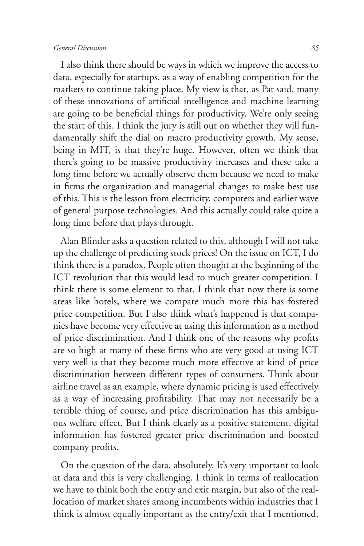## *General Discussion 85*

I also think there should be ways in which we improve the access to data, especially for startups, as a way of enabling competition for the markets to continue taking place. My view is that, as Pat said, many of these innovations of artificial intelligence and machine learning are going to be beneficial things for productivity. We're only seeing the start of this. I think the jury is still out on whether they will fundamentally shift the dial on macro productivity growth. My sense, being in MIT, is that they're huge. However, often we think that there's going to be massive productivity increases and these take a long time before we actually observe them because we need to make in firms the organization and managerial changes to make best use of this. This is the lesson from electricity, computers and earlier wave of general purpose technologies. And this actually could take quite a long time before that plays through.

Alan Blinder asks a question related to this, although I will not take up the challenge of predicting stock prices! On the issue on ICT, I do think there is a paradox. People often thought at the beginning of the ICT revolution that this would lead to much greater competition. I think there is some element to that. I think that now there is some areas like hotels, where we compare much more this has fostered price competition. But I also think what's happened is that companies have become very effective at using this information as a method of price discrimination. And I think one of the reasons why profits are so high at many of these firms who are very good at using ICT very well is that they become much more effective at kind of price discrimination between different types of consumers. Think about airline travel as an example, where dynamic pricing is used effectively as a way of increasing profitability. That may not necessarily be a terrible thing of course, and price discrimination has this ambiguous welfare effect. But I think clearly as a positive statement, digital information has fostered greater price discrimination and boosted company profits.

On the question of the data, absolutely. It's very important to look at data and this is very challenging. I think in terms of reallocation we have to think both the entry and exit margin, but also of the reallocation of market shares among incumbents within industries that I think is almost equally important as the entry/exit that I mentioned.